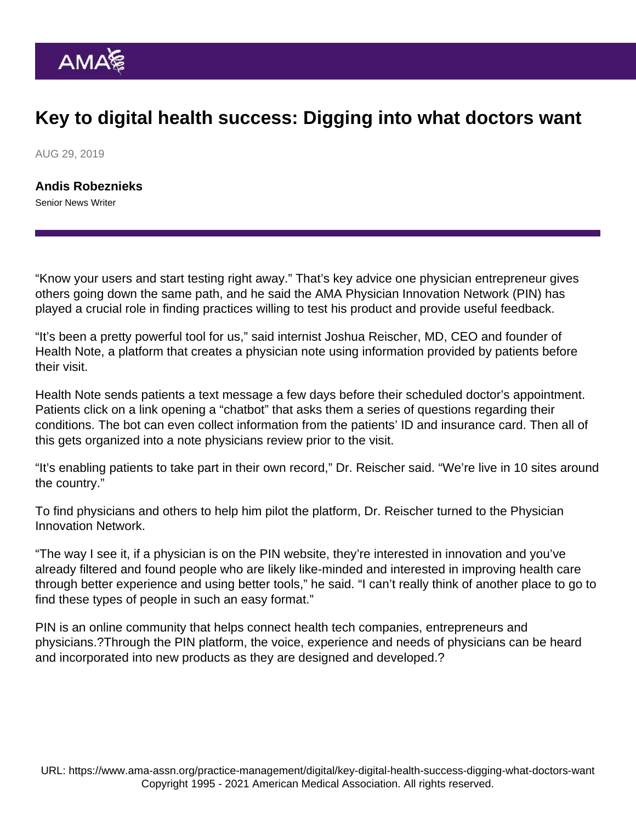## Key to digital health success: Digging into what doctors want

AUG 29, 2019

[Andis Robeznieks](https://www.ama-assn.org/news-leadership-viewpoints/authors-news-leadership-viewpoints/andis-robeznieks) Senior News Writer

"Know your users and start testing right away." That's key advice one physician entrepreneur gives others going down the same path, and he said the [AMA Physician Innovation Network](https://innovationmatch.ama-assn.org/) (PIN) has played a crucial role in finding practices willing to test his product and provide useful feedback.

"It's been a pretty powerful tool for us," said internist Joshua Reischer, MD, CEO and founder of Health Note, a platform that creates a physician note using information provided by patients before their visit.

Health Note sends patients a text message a few days before their scheduled doctor's appointment. Patients click on a link opening a "chatbot" that asks them a series of questions regarding their conditions. The bot can even collect information from the patients' ID and insurance card. Then all of this gets organized into a note physicians review prior to the visit.

"It's enabling patients to take part in their own record," Dr. Reischer said. "We're live in 10 sites around the country."

To find physicians and others to help him pilot the platform, Dr. Reischer turned to the Physician Innovation Network.

"The way I see it, if a physician is on the PIN website, they're interested in innovation and you've already filtered and found people who are likely like-minded and interested in improving health care through better experience and using better tools," he said. "I can't really think of another place to go to find these types of people in such an easy format."

PIN is an online community that helps connect health tech companies, entrepreneurs and physicians.?Through the PIN platform, the voice, experience and needs of physicians can be heard and incorporated into new products as they are designed and developed.?